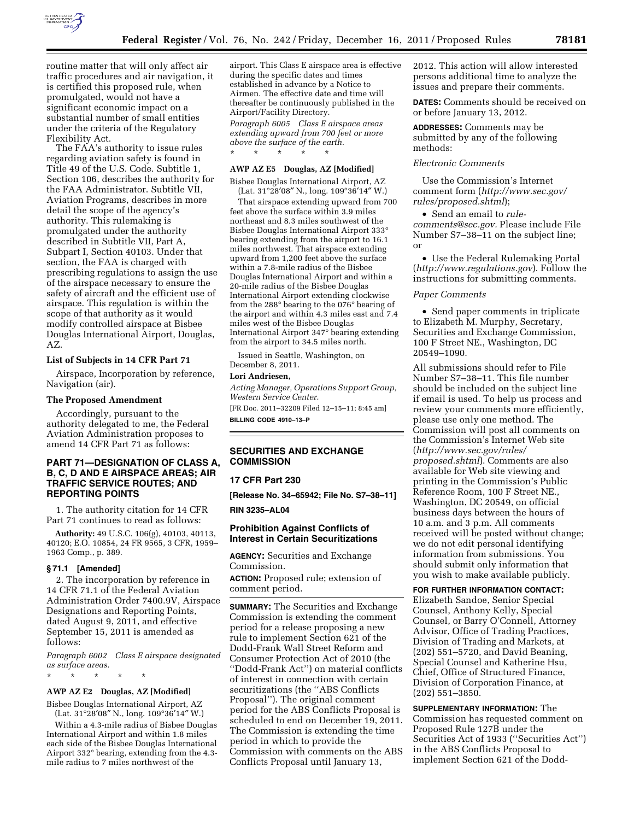

routine matter that will only affect air traffic procedures and air navigation, it is certified this proposed rule, when promulgated, would not have a significant economic impact on a substantial number of small entities under the criteria of the Regulatory Flexibility Act.

The FAA's authority to issue rules regarding aviation safety is found in Title 49 of the U.S. Code. Subtitle 1, Section 106, describes the authority for the FAA Administrator. Subtitle VII, Aviation Programs, describes in more detail the scope of the agency's authority. This rulemaking is promulgated under the authority described in Subtitle VII, Part A, Subpart I, Section 40103. Under that section, the FAA is charged with prescribing regulations to assign the use of the airspace necessary to ensure the safety of aircraft and the efficient use of airspace. This regulation is within the scope of that authority as it would modify controlled airspace at Bisbee Douglas International Airport, Douglas, AZ.

### **List of Subjects in 14 CFR Part 71**

Airspace, Incorporation by reference, Navigation (air).

#### **The Proposed Amendment**

Accordingly, pursuant to the authority delegated to me, the Federal Aviation Administration proposes to amend 14 CFR Part 71 as follows:

## **PART 71—DESIGNATION OF CLASS A, B, C, D AND E AIRSPACE AREAS; AIR TRAFFIC SERVICE ROUTES; AND REPORTING POINTS**

1. The authority citation for 14 CFR Part 71 continues to read as follows:

**Authority:** 49 U.S.C. 106(g), 40103, 40113, 40120; E.O. 10854, 24 FR 9565, 3 CFR, 1959– 1963 Comp., p. 389.

## **§ 71.1 [Amended]**

2. The incorporation by reference in 14 CFR 71.1 of the Federal Aviation Administration Order 7400.9V, Airspace Designations and Reporting Points, dated August 9, 2011, and effective September 15, 2011 is amended as follows:

*Paragraph 6002 Class E airspace designated as surface areas.* 

# **AWP AZ E2 Douglas, AZ [Modified]**

\* \* \* \* \*

Bisbee Douglas International Airport, AZ (Lat. 31°28′08″ N., long. 109°36′14″ W.)

Within a 4.3-mile radius of Bisbee Douglas International Airport and within 1.8 miles each side of the Bisbee Douglas International Airport 332° bearing, extending from the 4.3 mile radius to 7 miles northwest of the

airport. This Class E airspace area is effective during the specific dates and times established in advance by a Notice to Airmen. The effective date and time will thereafter be continuously published in the Airport/Facility Directory.

*Paragraph 6005 Class E airspace areas extending upward from 700 feet or more above the surface of the earth.*  \* \* \* \* \*

### **AWP AZ E5 Douglas, AZ [Modified]**

Bisbee Douglas International Airport, AZ (Lat. 31°28′08″ N., long. 109°36′14″ W.)

That airspace extending upward from 700 feet above the surface within 3.9 miles northeast and 8.3 miles southwest of the Bisbee Douglas International Airport 333° bearing extending from the airport to 16.1 miles northwest. That airspace extending upward from 1,200 feet above the surface within a 7.8-mile radius of the Bisbee Douglas International Airport and within a 20-mile radius of the Bisbee Douglas International Airport extending clockwise from the 288° bearing to the 076° bearing of the airport and within 4.3 miles east and 7.4 miles west of the Bisbee Douglas International Airport 347° bearing extending from the airport to 34.5 miles north.

Issued in Seattle, Washington, on December 8, 2011.

## Lori Andriesen

*Acting Manager, Operations Support Group, Western Service Center.*  [FR Doc. 2011–32209 Filed 12–15–11; 8:45 am] **BILLING CODE 4910–13–P** 

## **SECURITIES AND EXCHANGE COMMISSION**

### **17 CFR Part 230**

**[Release No. 34–65942; File No. S7–38–11]** 

**RIN 3235–AL04** 

## **Prohibition Against Conflicts of Interest in Certain Securitizations**

**AGENCY:** Securities and Exchange Commission.

**ACTION:** Proposed rule; extension of comment period.

**SUMMARY:** The Securities and Exchange Commission is extending the comment period for a release proposing a new rule to implement Section 621 of the Dodd-Frank Wall Street Reform and Consumer Protection Act of 2010 (the ''Dodd-Frank Act'') on material conflicts of interest in connection with certain securitizations (the ''ABS Conflicts Proposal''). The original comment period for the ABS Conflicts Proposal is scheduled to end on December 19, 2011. The Commission is extending the time period in which to provide the Commission with comments on the ABS Conflicts Proposal until January 13,

2012. This action will allow interested persons additional time to analyze the issues and prepare their comments.

**DATES:** Comments should be received on or before January 13, 2012.

**ADDRESSES:** Comments may be submitted by any of the following methods:

## *Electronic Comments*

Use the Commission's Internet comment form (*[http://www.sec.gov/](http://www.sec.gov/rules/proposed.shtml)  [rules/proposed.shtml](http://www.sec.gov/rules/proposed.shtml)*);

• Send an email to *[rule](mailto:rule-comments@sec.gov)[comments@sec.gov.](mailto:rule-comments@sec.gov)* Please include File Number S7–38–11 on the subject line; or

• Use the Federal Rulemaking Portal (*<http://www.regulations.gov>*). Follow the instructions for submitting comments.

### *Paper Comments*

• Send paper comments in triplicate to Elizabeth M. Murphy, Secretary, Securities and Exchange Commission, 100 F Street NE., Washington, DC 20549–1090.

All submissions should refer to File Number S7–38–11. This file number should be included on the subject line if email is used. To help us process and review your comments more efficiently, please use only one method. The Commission will post all comments on the Commission's Internet Web site (*[http://www.sec.gov/rules/](http://www.sec.gov/rules/proposed.shtml) [proposed.shtml](http://www.sec.gov/rules/proposed.shtml)*). Comments are also available for Web site viewing and printing in the Commission's Public Reference Room, 100 F Street NE., Washington, DC 20549, on official business days between the hours of 10 a.m. and 3 p.m. All comments received will be posted without change; we do not edit personal identifying information from submissions. You should submit only information that you wish to make available publicly.

#### **FOR FURTHER INFORMATION CONTACT:**

Elizabeth Sandoe, Senior Special Counsel, Anthony Kelly, Special Counsel, or Barry O'Connell, Attorney Advisor, Office of Trading Practices, Division of Trading and Markets, at (202) 551–5720, and David Beaning, Special Counsel and Katherine Hsu, Chief, Office of Structured Finance, Division of Corporation Finance, at (202) 551–3850.

**SUPPLEMENTARY INFORMATION:** The Commission has requested comment on Proposed Rule 127B under the Securities Act of 1933 (''Securities Act'') in the ABS Conflicts Proposal to implement Section 621 of the Dodd-